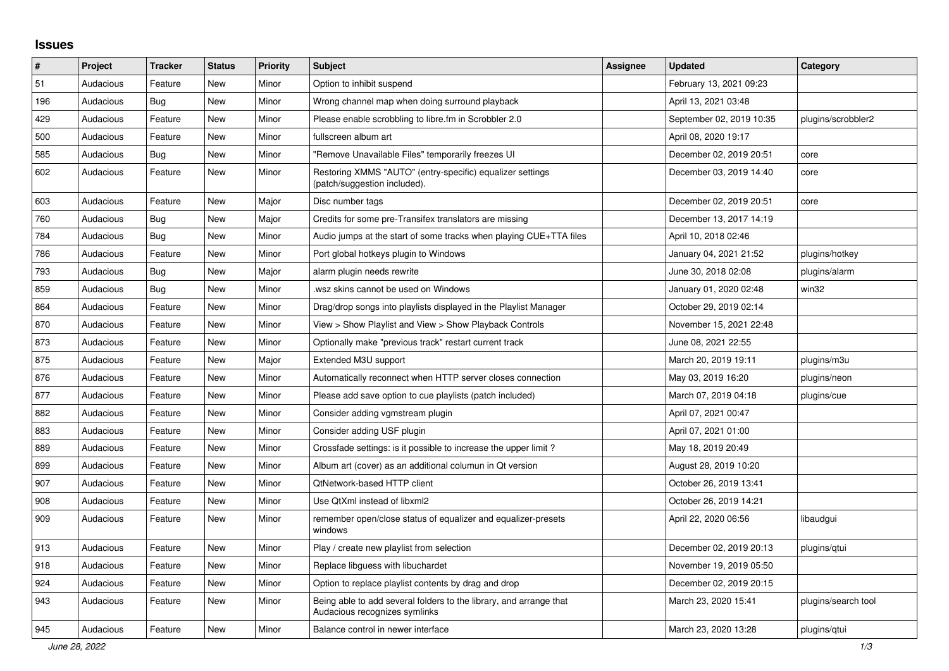## **Issues**

| #   | Project   | <b>Tracker</b> | <b>Status</b> | <b>Priority</b> | <b>Subject</b>                                                                                      | <b>Assignee</b> | <b>Updated</b>           | Category            |
|-----|-----------|----------------|---------------|-----------------|-----------------------------------------------------------------------------------------------------|-----------------|--------------------------|---------------------|
| 51  | Audacious | Feature        | <b>New</b>    | Minor           | Option to inhibit suspend                                                                           |                 | February 13, 2021 09:23  |                     |
| 196 | Audacious | Bug            | New           | Minor           | Wrong channel map when doing surround playback                                                      |                 | April 13, 2021 03:48     |                     |
| 429 | Audacious | Feature        | <b>New</b>    | Minor           | Please enable scrobbling to libre.fm in Scrobbler 2.0                                               |                 | September 02, 2019 10:35 | plugins/scrobbler2  |
| 500 | Audacious | Feature        | <b>New</b>    | Minor           | fullscreen album art                                                                                |                 | April 08, 2020 19:17     |                     |
| 585 | Audacious | Bug            | <b>New</b>    | Minor           | "Remove Unavailable Files" temporarily freezes UI                                                   |                 | December 02, 2019 20:51  | core                |
| 602 | Audacious | Feature        | <b>New</b>    | Minor           | Restoring XMMS "AUTO" (entry-specific) equalizer settings<br>(patch/suggestion included).           |                 | December 03, 2019 14:40  | core                |
| 603 | Audacious | Feature        | <b>New</b>    | Major           | Disc number tags                                                                                    |                 | December 02, 2019 20:51  | core                |
| 760 | Audacious | Bug            | <b>New</b>    | Major           | Credits for some pre-Transifex translators are missing                                              |                 | December 13, 2017 14:19  |                     |
| 784 | Audacious | <b>Bug</b>     | <b>New</b>    | Minor           | Audio jumps at the start of some tracks when playing CUE+TTA files                                  |                 | April 10, 2018 02:46     |                     |
| 786 | Audacious | Feature        | New           | Minor           | Port global hotkeys plugin to Windows                                                               |                 | January 04, 2021 21:52   | plugins/hotkey      |
| 793 | Audacious | Bug            | New           | Major           | alarm plugin needs rewrite                                                                          |                 | June 30, 2018 02:08      | plugins/alarm       |
| 859 | Audacious | Bug            | <b>New</b>    | Minor           | wsz skins cannot be used on Windows.                                                                |                 | January 01, 2020 02:48   | win32               |
| 864 | Audacious | Feature        | <b>New</b>    | Minor           | Drag/drop songs into playlists displayed in the Playlist Manager                                    |                 | October 29, 2019 02:14   |                     |
| 870 | Audacious | Feature        | <b>New</b>    | Minor           | View > Show Playlist and View > Show Playback Controls                                              |                 | November 15, 2021 22:48  |                     |
| 873 | Audacious | Feature        | <b>New</b>    | Minor           | Optionally make "previous track" restart current track                                              |                 | June 08, 2021 22:55      |                     |
| 875 | Audacious | Feature        | <b>New</b>    | Major           | Extended M3U support                                                                                |                 | March 20, 2019 19:11     | plugins/m3u         |
| 876 | Audacious | Feature        | <b>New</b>    | Minor           | Automatically reconnect when HTTP server closes connection                                          |                 | May 03, 2019 16:20       | plugins/neon        |
| 877 | Audacious | Feature        | <b>New</b>    | Minor           | Please add save option to cue playlists (patch included)                                            |                 | March 07, 2019 04:18     | plugins/cue         |
| 882 | Audacious | Feature        | New           | Minor           | Consider adding vgmstream plugin                                                                    |                 | April 07, 2021 00:47     |                     |
| 883 | Audacious | Feature        | New           | Minor           | Consider adding USF plugin                                                                          |                 | April 07, 2021 01:00     |                     |
| 889 | Audacious | Feature        | <b>New</b>    | Minor           | Crossfade settings: is it possible to increase the upper limit?                                     |                 | May 18, 2019 20:49       |                     |
| 899 | Audacious | Feature        | <b>New</b>    | Minor           | Album art (cover) as an additional columun in Qt version                                            |                 | August 28, 2019 10:20    |                     |
| 907 | Audacious | Feature        | <b>New</b>    | Minor           | QtNetwork-based HTTP client                                                                         |                 | October 26, 2019 13:41   |                     |
| 908 | Audacious | Feature        | <b>New</b>    | Minor           | Use QtXml instead of libxml2                                                                        |                 | October 26, 2019 14:21   |                     |
| 909 | Audacious | Feature        | New           | Minor           | remember open/close status of equalizer and equalizer-presets<br>windows                            |                 | April 22, 2020 06:56     | libaudgui           |
| 913 | Audacious | Feature        | <b>New</b>    | Minor           | Play / create new playlist from selection                                                           |                 | December 02, 2019 20:13  | plugins/qtui        |
| 918 | Audacious | Feature        | New           | Minor           | Replace libguess with libuchardet                                                                   |                 | November 19, 2019 05:50  |                     |
| 924 | Audacious | Feature        | New           | Minor           | Option to replace playlist contents by drag and drop                                                |                 | December 02, 2019 20:15  |                     |
| 943 | Audacious | Feature        | <b>New</b>    | Minor           | Being able to add several folders to the library, and arrange that<br>Audacious recognizes symlinks |                 | March 23, 2020 15:41     | plugins/search tool |
| 945 | Audacious | Feature        | New           | Minor           | Balance control in newer interface                                                                  |                 | March 23, 2020 13:28     | plugins/gtui        |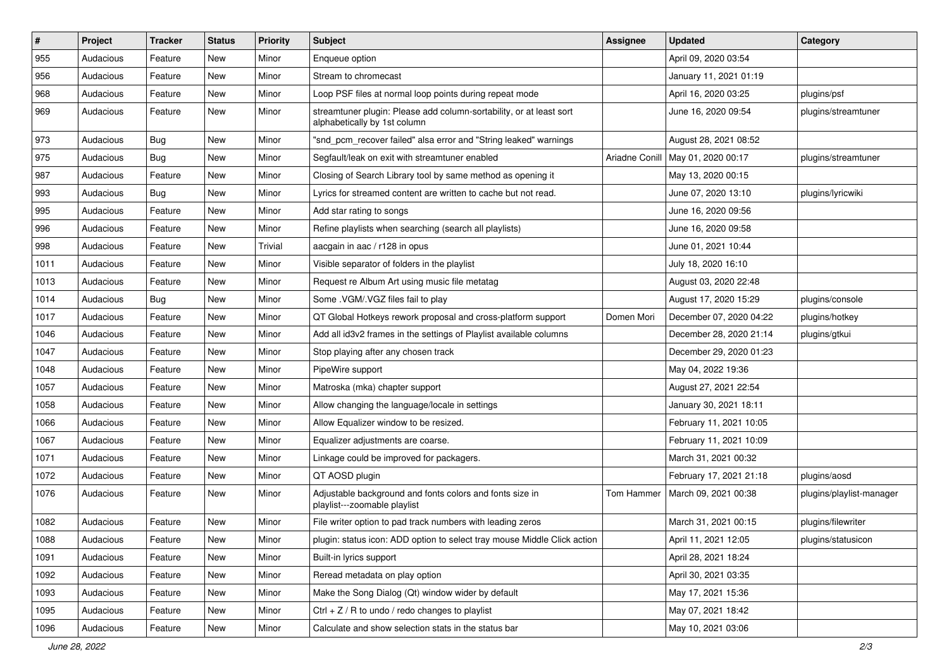| #    | Project   | <b>Tracker</b> | <b>Status</b> | <b>Priority</b> | Subject                                                                                             | <b>Assignee</b> | <b>Updated</b>          | Category                 |
|------|-----------|----------------|---------------|-----------------|-----------------------------------------------------------------------------------------------------|-----------------|-------------------------|--------------------------|
| 955  | Audacious | Feature        | New           | Minor           | Enqueue option                                                                                      |                 | April 09, 2020 03:54    |                          |
| 956  | Audacious | Feature        | New           | Minor           | Stream to chromecast                                                                                |                 | January 11, 2021 01:19  |                          |
| 968  | Audacious | Feature        | New           | Minor           | Loop PSF files at normal loop points during repeat mode                                             |                 | April 16, 2020 03:25    | plugins/psf              |
| 969  | Audacious | Feature        | New           | Minor           | streamtuner plugin: Please add column-sortability, or at least sort<br>alphabetically by 1st column |                 | June 16, 2020 09:54     | plugins/streamtuner      |
| 973  | Audacious | Bug            | New           | Minor           | "snd_pcm_recover failed" alsa error and "String leaked" warnings                                    |                 | August 28, 2021 08:52   |                          |
| 975  | Audacious | Bug            | New           | Minor           | Segfault/leak on exit with streamtuner enabled                                                      | Ariadne Conill  | May 01, 2020 00:17      | plugins/streamtuner      |
| 987  | Audacious | Feature        | New           | Minor           | Closing of Search Library tool by same method as opening it                                         |                 | May 13, 2020 00:15      |                          |
| 993  | Audacious | Bug            | New           | Minor           | Lyrics for streamed content are written to cache but not read.                                      |                 | June 07, 2020 13:10     | plugins/lyricwiki        |
| 995  | Audacious | Feature        | New           | Minor           | Add star rating to songs                                                                            |                 | June 16, 2020 09:56     |                          |
| 996  | Audacious | Feature        | New           | Minor           | Refine playlists when searching (search all playlists)                                              |                 | June 16, 2020 09:58     |                          |
| 998  | Audacious | Feature        | New           | Trivial         | aacgain in aac / r128 in opus                                                                       |                 | June 01, 2021 10:44     |                          |
| 1011 | Audacious | Feature        | New           | Minor           | Visible separator of folders in the playlist                                                        |                 | July 18, 2020 16:10     |                          |
| 1013 | Audacious | Feature        | New           | Minor           | Request re Album Art using music file metatag                                                       |                 | August 03, 2020 22:48   |                          |
| 1014 | Audacious | <b>Bug</b>     | New           | Minor           | Some .VGM/.VGZ files fail to play                                                                   |                 | August 17, 2020 15:29   | plugins/console          |
| 1017 | Audacious | Feature        | New           | Minor           | QT Global Hotkeys rework proposal and cross-platform support                                        | Domen Mori      | December 07, 2020 04:22 | plugins/hotkey           |
| 1046 | Audacious | Feature        | New           | Minor           | Add all id3v2 frames in the settings of Playlist available columns                                  |                 | December 28, 2020 21:14 | plugins/gtkui            |
| 1047 | Audacious | Feature        | New           | Minor           | Stop playing after any chosen track                                                                 |                 | December 29, 2020 01:23 |                          |
| 1048 | Audacious | Feature        | New           | Minor           | PipeWire support                                                                                    |                 | May 04, 2022 19:36      |                          |
| 1057 | Audacious | Feature        | New           | Minor           | Matroska (mka) chapter support                                                                      |                 | August 27, 2021 22:54   |                          |
| 1058 | Audacious | Feature        | New           | Minor           | Allow changing the language/locale in settings                                                      |                 | January 30, 2021 18:11  |                          |
| 1066 | Audacious | Feature        | New           | Minor           | Allow Equalizer window to be resized.                                                               |                 | February 11, 2021 10:05 |                          |
| 1067 | Audacious | Feature        | New           | Minor           | Equalizer adjustments are coarse.                                                                   |                 | February 11, 2021 10:09 |                          |
| 1071 | Audacious | Feature        | New           | Minor           | Linkage could be improved for packagers.                                                            |                 | March 31, 2021 00:32    |                          |
| 1072 | Audacious | Feature        | New           | Minor           | QT AOSD plugin                                                                                      |                 | February 17, 2021 21:18 | plugins/aosd             |
| 1076 | Audacious | Feature        | New           | Minor           | Adjustable background and fonts colors and fonts size in<br>playlist---zoomable playlist            | Tom Hammer      | March 09, 2021 00:38    | plugins/playlist-manager |
| 1082 | Audacious | Feature        | New           | Minor           | File writer option to pad track numbers with leading zeros                                          |                 | March 31, 2021 00:15    | plugins/filewriter       |
| 1088 | Audacious | Feature        | New           | Minor           | plugin: status icon: ADD option to select tray mouse Middle Click action                            |                 | April 11, 2021 12:05    | plugins/statusicon       |
| 1091 | Audacious | Feature        | New           | Minor           | Built-in lyrics support                                                                             |                 | April 28, 2021 18:24    |                          |
| 1092 | Audacious | Feature        | New           | Minor           | Reread metadata on play option                                                                      |                 | April 30, 2021 03:35    |                          |
| 1093 | Audacious | Feature        | New           | Minor           | Make the Song Dialog (Qt) window wider by default                                                   |                 | May 17, 2021 15:36      |                          |
| 1095 | Audacious | Feature        | New           | Minor           | Ctrl + $Z$ / R to undo / redo changes to playlist                                                   |                 | May 07, 2021 18:42      |                          |
| 1096 | Audacious | Feature        | New           | Minor           | Calculate and show selection stats in the status bar                                                |                 | May 10, 2021 03:06      |                          |